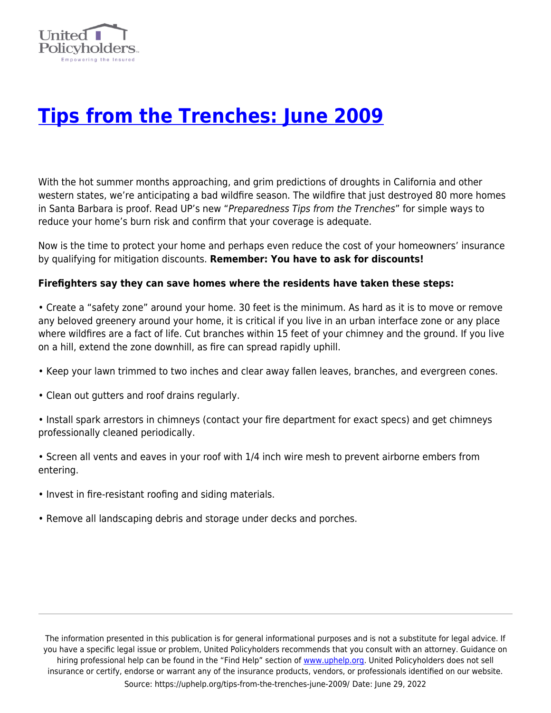

## **[Tips from the Trenches: June 2009](https://uphelp.org/tips-from-the-trenches-june-2009/)**

With the hot summer months approaching, and grim predictions of droughts in California and other western states, we're anticipating a bad wildfire season. The wildfire that just destroyed 80 more homes in Santa Barbara is proof. Read UP's new "Preparedness Tips from the Trenches" for simple ways to reduce your home's burn risk and confirm that your coverage is adequate.

Now is the time to protect your home and perhaps even reduce the cost of your homeowners' insurance by qualifying for mitigation discounts. **Remember: You have to ask for discounts!**

## **Firefighters say they can save homes where the residents have taken these steps:**

• Create a "safety zone" around your home. 30 feet is the minimum. As hard as it is to move or remove any beloved greenery around your home, it is critical if you live in an urban interface zone or any place where wildfires are a fact of life. Cut branches within 15 feet of your chimney and the ground. If you live on a hill, extend the zone downhill, as fire can spread rapidly uphill.

- Keep your lawn trimmed to two inches and clear away fallen leaves, branches, and evergreen cones.
- Clean out gutters and roof drains regularly.
- Install spark arrestors in chimneys (contact your fire department for exact specs) and get chimneys professionally cleaned periodically.
- Screen all vents and eaves in your roof with 1/4 inch wire mesh to prevent airborne embers from entering.
- Invest in fire-resistant roofing and siding materials.
- Remove all landscaping debris and storage under decks and porches.

The information presented in this publication is for general informational purposes and is not a substitute for legal advice. If you have a specific legal issue or problem, United Policyholders recommends that you consult with an attorney. Guidance on hiring professional help can be found in the "Find Help" section of [www.uphelp.org.](http://www.uphelp.org/) United Policyholders does not sell insurance or certify, endorse or warrant any of the insurance products, vendors, or professionals identified on our website. Source: https://uphelp.org/tips-from-the-trenches-june-2009/ Date: June 29, 2022